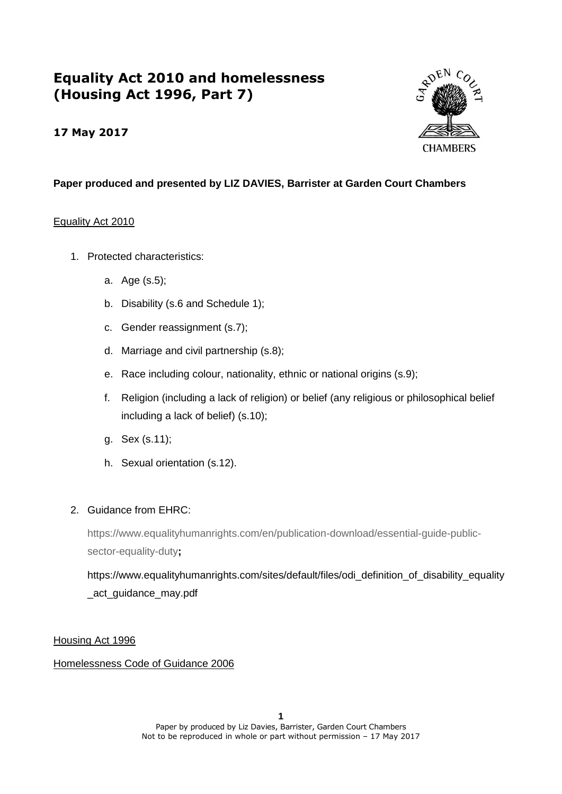# **Equality Act 2010 and homelessness (Housing Act 1996, Part 7)**

## **17 May 2017**



## **Paper produced and presented by LIZ DAVIES, Barrister at Garden Court Chambers**

#### Equality Act 2010

- 1. Protected characteristics:
	- a. Age (s.5);
	- b. Disability (s.6 and Schedule 1);
	- c. Gender reassignment (s.7);
	- d. Marriage and civil partnership (s.8);
	- e. Race including colour, nationality, ethnic or national origins (s.9);
	- f. Religion (including a lack of religion) or belief (any religious or philosophical belief including a lack of belief) (s.10);
	- g. Sex (s.11);
	- h. Sexual orientation (s.12).

## 2. Guidance from EHRC:

[https://www.equalityhumanrights.com/en/publication-download/essential-guide-public](https://www.equalityhumanrights.com/en/publication-download/essential-guide-public-sector-equality-duty)[sector-equality-duty](https://www.equalityhumanrights.com/en/publication-download/essential-guide-public-sector-equality-duty)**;**

https://www.equalityhumanrights.com/sites/default/files/odi\_definition\_of\_disability\_equality \_act\_guidance\_may.pdf

## Housing Act 1996

## Homelessness Code of Guidance 2006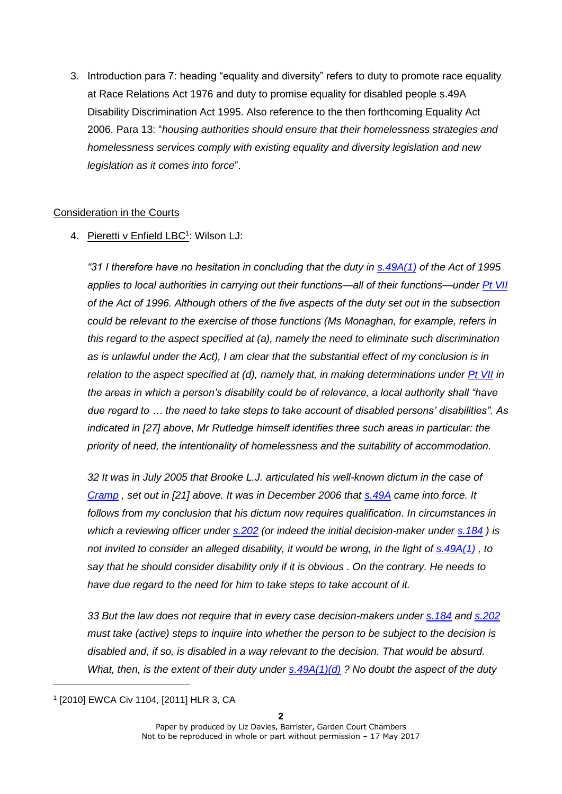3. Introduction para 7: heading "equality and diversity" refers to duty to promote race equality at Race Relations Act 1976 and duty to promise equality for disabled people s.49A Disability Discrimination Act 1995. Also reference to the then forthcoming Equality Act 2006. Para 13: "*housing authorities should ensure that their homelessness strategies and homelessness services comply with existing equality and diversity legislation and new legislation as it comes into force*".

## Consideration in the Courts

## 4. Pieretti v Enfield LBC<sup>1</sup>: Wilson LJ:

*"31 I therefore have no hesitation in concluding that the duty in [s.49A\(1\)](https://login.westlaw.co.uk/maf/wluk/app/document?src=doc&linktype=ref&context=15&crumb-action=replace&docguid=I8E18E870E44E11DA8D70A0E70A78ED65) of the Act of 1995 applies to local authorities in carrying out their functions—all of their functions—under [Pt VII](https://login.westlaw.co.uk/maf/wluk/app/document?src=doc&linktype=ref&context=15&crumb-action=replace&docguid=I296C8CA1E44F11DA8D70A0E70A78ED65) of the Act of 1996. Although others of the five aspects of the duty set out in the subsection could be relevant to the exercise of those functions (Ms Monaghan, for example, refers in this regard to the aspect specified at (a), namely the need to eliminate such discrimination as is unlawful under the Act), I am clear that the substantial effect of my conclusion is in relation to the aspect specified at (d), namely that, in making determinations under [Pt VII](https://login.westlaw.co.uk/maf/wluk/app/document?src=doc&linktype=ref&context=15&crumb-action=replace&docguid=I296C8CA1E44F11DA8D70A0E70A78ED65) in the areas in which a person's disability could be of relevance, a local authority shall "have due regard to … the need to take steps to take account of disabled persons' disabilities". As indicated in [27] above, Mr Rutledge himself identifies three such areas in particular: the priority of need, the intentionality of homelessness and the suitability of accommodation.* 

*32 It was in July 2005 that Brooke L.J. articulated his well-known dictum in the case of [Cramp](https://login.westlaw.co.uk/maf/wluk/app/document?src=doc&linktype=ref&context=15&crumb-action=replace&docguid=I8FBBD4C0E42711DA8FC2A0F0355337E9) , set out in [21] above. It was in December 2006 that [s.49A](https://login.westlaw.co.uk/maf/wluk/app/document?src=doc&linktype=ref&context=15&crumb-action=replace&docguid=I8E18E870E44E11DA8D70A0E70A78ED65) came into force. It follows from my conclusion that his dictum now requires qualification. In circumstances in which a reviewing officer under [s.202](https://login.westlaw.co.uk/maf/wluk/app/document?src=doc&linktype=ref&context=15&crumb-action=replace&docguid=I29848170E44F11DA8D70A0E70A78ED65) (or indeed the initial decision-maker under [s.184](https://login.westlaw.co.uk/maf/wluk/app/document?src=doc&linktype=ref&context=15&crumb-action=replace&docguid=I29725900E44F11DA8D70A0E70A78ED65) ) is not invited to consider an alleged disability, it would be wrong, in the light of [s.49A\(1\)](https://login.westlaw.co.uk/maf/wluk/app/document?src=doc&linktype=ref&context=15&crumb-action=replace&docguid=I8E18E870E44E11DA8D70A0E70A78ED65) , to say that he should consider disability only if it is obvious . On the contrary. He needs to have due regard to the need for him to take steps to take account of it.* 

*33 But the law does not require that in every case decision-makers under [s.184](https://login.westlaw.co.uk/maf/wluk/app/document?src=doc&linktype=ref&context=15&crumb-action=replace&docguid=I29725900E44F11DA8D70A0E70A78ED65) and [s.202](https://login.westlaw.co.uk/maf/wluk/app/document?src=doc&linktype=ref&context=15&crumb-action=replace&docguid=I29848170E44F11DA8D70A0E70A78ED65) must take (active) steps to inquire into whether the person to be subject to the decision is disabled and, if so, is disabled in a way relevant to the decision. That would be absurd. What, then, is the extent of their duty under [s.49A\(1\)\(d\)](https://login.westlaw.co.uk/maf/wluk/app/document?src=doc&linktype=ref&context=15&crumb-action=replace&docguid=I8E18E870E44E11DA8D70A0E70A78ED65) ? No doubt the aspect of the duty* 

<sup>1</sup> [2010] EWCA Civ 1104, [2011] HLR 3, CA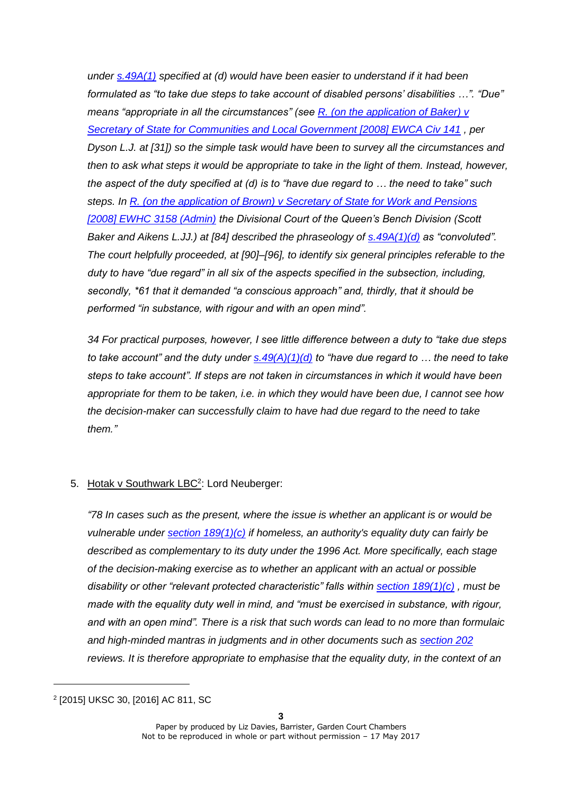*under [s.49A\(1\)](https://login.westlaw.co.uk/maf/wluk/app/document?src=doc&linktype=ref&context=15&crumb-action=replace&docguid=I8E18E870E44E11DA8D70A0E70A78ED65) specified at (d) would have been easier to understand if it had been formulated as "to take due steps to take account of disabled persons' disabilities …". "Due" means "appropriate in all the circumstances" (see [R. \(on the application of Baker\) v](https://login.westlaw.co.uk/maf/wluk/app/document?src=doc&linktype=ref&context=15&crumb-action=replace&docguid=IF85588B0E68B11DCBCD2E3B347C82A0E)  [Secretary of State for Communities and Local Government \[2008\] EWCA Civ 141](https://login.westlaw.co.uk/maf/wluk/app/document?src=doc&linktype=ref&context=15&crumb-action=replace&docguid=IF85588B0E68B11DCBCD2E3B347C82A0E) , per Dyson L.J. at [31]) so the simple task would have been to survey all the circumstances and then to ask what steps it would be appropriate to take in the light of them. Instead, however, the aspect of the duty specified at (d) is to "have due regard to … the need to take" such steps. In [R. \(on the application of Brown\) v Secretary of State for Work and Pensions](https://login.westlaw.co.uk/maf/wluk/app/document?src=doc&linktype=ref&context=15&crumb-action=replace&docguid=I7DAC3940E44811DD843DEF0BC00E461F)  [\[2008\] EWHC 3158 \(Admin\)](https://login.westlaw.co.uk/maf/wluk/app/document?src=doc&linktype=ref&context=15&crumb-action=replace&docguid=I7DAC3940E44811DD843DEF0BC00E461F) the Divisional Court of the Queen's Bench Division (Scott Baker and Aikens L.JJ.) at [84] described the phraseology of [s.49A\(1\)\(d\)](https://login.westlaw.co.uk/maf/wluk/app/document?src=doc&linktype=ref&context=15&crumb-action=replace&docguid=I8E18E870E44E11DA8D70A0E70A78ED65) as "convoluted". The court helpfully proceeded, at [90]–[96], to identify six general principles referable to the duty to have "due regard" in all six of the aspects specified in the subsection, including, secondly, \*61 that it demanded "a conscious approach" and, thirdly, that it should be performed "in substance, with rigour and with an open mind".*

*34 For practical purposes, however, I see little difference between a duty to "take due steps to take account" and the duty under [s.49\(A\)\(1\)\(d\)](https://login.westlaw.co.uk/maf/wluk/app/document?src=doc&linktype=ref&context=15&crumb-action=replace&docguid=I8E18E870E44E11DA8D70A0E70A78ED65) to "have due regard to … the need to take steps to take account". If steps are not taken in circumstances in which it would have been appropriate for them to be taken, i.e. in which they would have been due, I cannot see how the decision-maker can successfully claim to have had due regard to the need to take them."*

## 5. Hotak v Southwark LBC<sup>2</sup>: Lord Neuberger:

*"78 In cases such as the present, where the issue is whether an applicant is or would be vulnerable under [section 189\(1\)\(c\)](https://login.westlaw.co.uk/maf/wluk/app/document?src=doc&linktype=ref&context=36&crumb-action=replace&docguid=I29758D50E44F11DA8D70A0E70A78ED65) if homeless, an authority's equality duty can fairly be described as complementary to its duty under the 1996 Act. More specifically, each stage of the decision-making exercise as to whether an applicant with an actual or possible disability or other "relevant protected characteristic" falls within [section 189\(1\)\(c\)](https://login.westlaw.co.uk/maf/wluk/app/document?src=doc&linktype=ref&context=36&crumb-action=replace&docguid=I29758D50E44F11DA8D70A0E70A78ED65) , must be made with the equality duty well in mind, and "must be exercised in substance, with rigour, and with an open mind". There is a risk that such words can lead to no more than formulaic and high-minded mantras in judgments and in other documents such as [section 202](https://login.westlaw.co.uk/maf/wluk/app/document?src=doc&linktype=ref&context=36&crumb-action=replace&docguid=I29848170E44F11DA8D70A0E70A78ED65) reviews. It is therefore appropriate to emphasise that the equality duty, in the context of an* 

<sup>2</sup> [2015] UKSC 30, [2016] AC 811, SC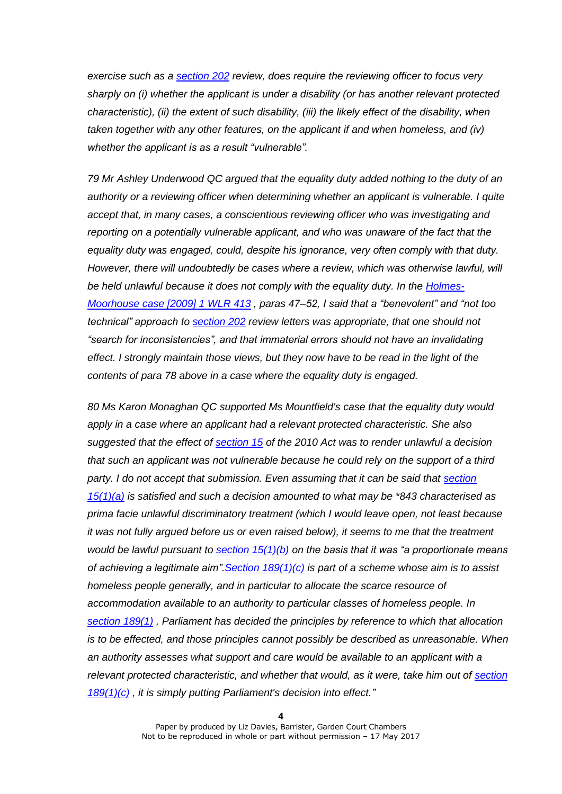*exercise such as a [section 202](https://login.westlaw.co.uk/maf/wluk/app/document?src=doc&linktype=ref&context=36&crumb-action=replace&docguid=I29848170E44F11DA8D70A0E70A78ED65) review, does require the reviewing officer to focus very sharply on (i) whether the applicant is under a disability (or has another relevant protected characteristic), (ii) the extent of such disability, (iii) the likely effect of the disability, when taken together with any other features, on the applicant if and when homeless, and (iv) whether the applicant is as a result "vulnerable".*

*79 Mr Ashley Underwood QC argued that the equality duty added nothing to the duty of an authority or a reviewing officer when determining whether an applicant is vulnerable. I quite accept that, in many cases, a conscientious reviewing officer who was investigating and reporting on a potentially vulnerable applicant, and who was unaware of the fact that the equality duty was engaged, could, despite his ignorance, very often comply with that duty. However, there will undoubtedly be cases where a review, which was otherwise lawful, will*  be held *unlawful because it does not comply with the equality duty. In the [Holmes-](https://login.westlaw.co.uk/maf/wluk/app/document?src=doc&linktype=ref&context=36&crumb-action=replace&docguid=I46798F40F33911DD921BAE7873E7507B)[Moorhouse case \[2009\]](https://login.westlaw.co.uk/maf/wluk/app/document?src=doc&linktype=ref&context=36&crumb-action=replace&docguid=I46798F40F33911DD921BAE7873E7507B) 1 WLR 413 , paras 47–52, I said that a "benevolent" and "not too technical" approach to [section 202](https://login.westlaw.co.uk/maf/wluk/app/document?src=doc&linktype=ref&context=36&crumb-action=replace&docguid=I29848170E44F11DA8D70A0E70A78ED65) review letters was appropriate, that one should not "search for inconsistencies", and that immaterial errors should not have an invalidating effect. I strongly maintain those views, but they now have to be read in the light of the contents of para 78 above in a case where the equality duty is engaged.* 

*80 Ms Karon Monaghan QC supported Ms Mountfield's case that the equality duty would apply in a case where an applicant had a relevant protected characteristic. She also suggested that the effect of [section 15](https://login.westlaw.co.uk/maf/wluk/app/document?src=doc&linktype=ref&context=36&crumb-action=replace&docguid=IC6876912491811DFA52897A37C152D8C) of the 2010 Act was to render unlawful a decision that such an applicant was not vulnerable because he could rely on the support of a third party. I do not accept that submission. Even assuming that it can be said that [section](https://login.westlaw.co.uk/maf/wluk/app/document?src=doc&linktype=ref&context=36&crumb-action=replace&docguid=IC6876912491811DFA52897A37C152D8C)  [15\(1\)\(a\)](https://login.westlaw.co.uk/maf/wluk/app/document?src=doc&linktype=ref&context=36&crumb-action=replace&docguid=IC6876912491811DFA52897A37C152D8C) is satisfied and such a decision amounted to what may be \*843 characterised as prima facie unlawful discriminatory treatment (which I would leave open, not least because it was not fully argued before us or even raised below), it seems to me that the treatment would be lawful pursuant to [section 15\(1\)\(b\)](https://login.westlaw.co.uk/maf/wluk/app/document?src=doc&linktype=ref&context=36&crumb-action=replace&docguid=IC6876912491811DFA52897A37C152D8C) on the basis that it was "a proportionate means of achieving a legitimate aim"[.Section 189\(1\)\(c\)](https://login.westlaw.co.uk/maf/wluk/app/document?src=doc&linktype=ref&context=36&crumb-action=replace&docguid=I29758D50E44F11DA8D70A0E70A78ED65) is part of a scheme whose aim is to assist homeless people generally, and in particular to allocate the scarce resource of accommodation available to an authority to particular classes of homeless people. In [section 189\(1\)](https://login.westlaw.co.uk/maf/wluk/app/document?src=doc&linktype=ref&context=36&crumb-action=replace&docguid=I29758D50E44F11DA8D70A0E70A78ED65) , Parliament has decided the principles by reference to which that allocation is to be effected, and those principles cannot possibly be described as unreasonable. When an authority assesses what support and care would be available to an applicant with a relevant protected characteristic, and whether that would, as it were, take him out of [section](https://login.westlaw.co.uk/maf/wluk/app/document?src=doc&linktype=ref&context=36&crumb-action=replace&docguid=I29758D50E44F11DA8D70A0E70A78ED65)  [189\(1\)\(c\)](https://login.westlaw.co.uk/maf/wluk/app/document?src=doc&linktype=ref&context=36&crumb-action=replace&docguid=I29758D50E44F11DA8D70A0E70A78ED65) , it is simply putting Parliament's decision into effect."*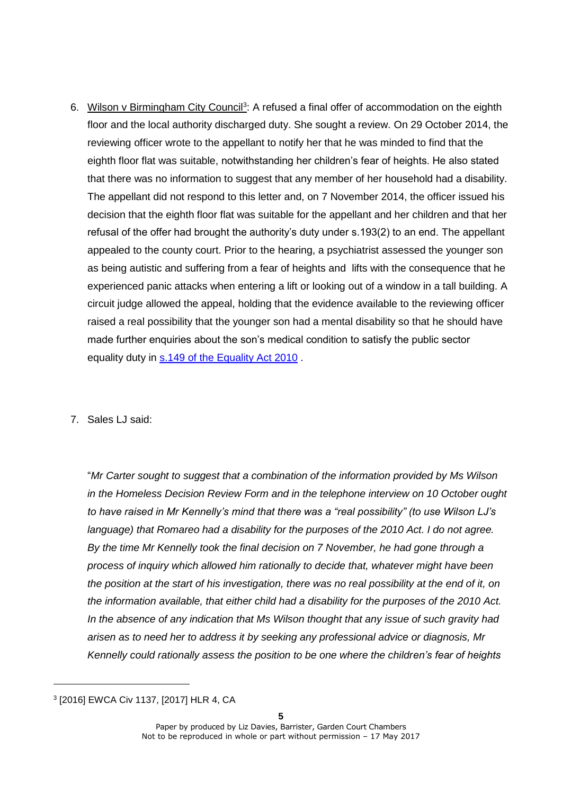- 6. Wilson v Birmingham City Council<sup>3</sup>: A refused a final offer of accommodation on the eighth floor and the local authority discharged duty. She sought a review. On 29 October 2014, the reviewing officer wrote to the appellant to notify her that he was minded to find that the eighth floor flat was suitable, notwithstanding her children's fear of heights. He also stated that there was no information to suggest that any member of her household had a disability. The appellant did not respond to this letter and, on 7 November 2014, the officer issued his decision that the eighth floor flat was suitable for the appellant and her children and that her refusal of the offer had brought the authority's duty under s.193(2) to an end. The appellant appealed to the county court. Prior to the hearing, a psychiatrist assessed the younger son as being autistic and suffering from a fear of heights and lifts with the consequence that he experienced panic attacks when entering a lift or looking out of a window in a tall building. A circuit judge allowed the appeal, holding that the evidence available to the reviewing officer raised a real possibility that the younger son had a mental disability so that he should have made further enquiries about the son's medical condition to satisfy the public sector equality duty in s.149 of the Equality Act 2010 .
- 7. Sales LJ said:

"*Mr Carter sought to suggest that a combination of the information provided by Ms Wilson in the Homeless Decision Review Form and in the telephone interview on 10 October ought to have raised in Mr Kennelly's mind that there was a "real possibility" (to use Wilson LJ's language) that Romareo had a disability for the purposes of the 2010 Act. I do not agree. By the time Mr Kennelly took the final decision on 7 November, he had gone through a process of inquiry which allowed him rationally to decide that, whatever might have been the position at the start of his investigation, there was no real possibility at the end of it, on the information available, that either child had a disability for the purposes of the 2010 Act. In the absence of any indication that Ms Wilson thought that any issue of such gravity had arisen as to need her to address it by seeking any professional advice or diagnosis, Mr Kennelly could rationally assess the position to be one where the children's fear of heights* 

<sup>3</sup> [2016] EWCA Civ 1137, [2017] HLR 4, CA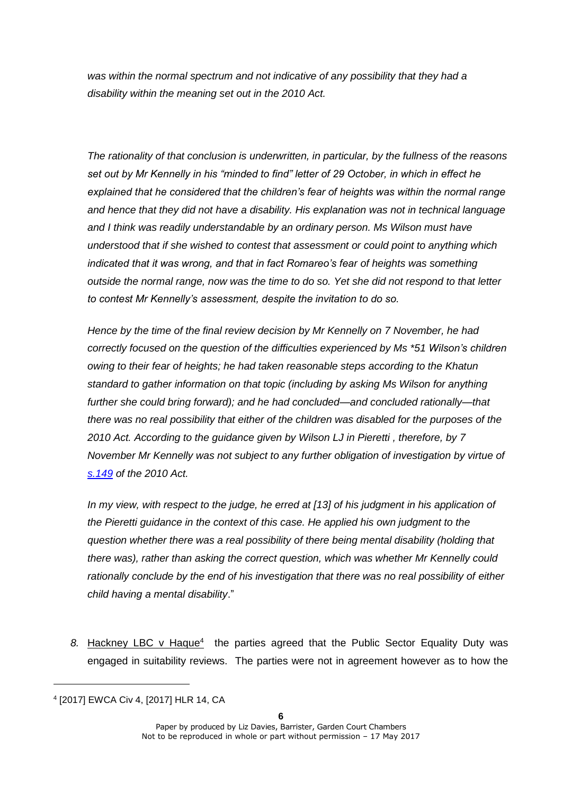*was within the normal spectrum and not indicative of any possibility that they had a disability within the meaning set out in the 2010 Act.*

*The rationality of that conclusion is underwritten, in particular, by the fullness of the reasons set out by Mr Kennelly in his "minded to find" letter of 29 October, in which in effect he explained that he considered that the children's fear of heights was within the normal range and hence that they did not have a disability. His explanation was not in technical language and I think was readily understandable by an ordinary person. Ms Wilson must have understood that if she wished to contest that assessment or could point to anything which indicated that it was wrong, and that in fact Romareo's fear of heights was something outside the normal range, now was the time to do so. Yet she did not respond to that letter to contest Mr Kennelly's assessment, despite the invitation to do so.*

*Hence by the time of the final review decision by Mr Kennelly on 7 November, he had correctly focused on the question of the difficulties experienced by Ms \*51 Wilson's children owing to their fear of heights; he had taken reasonable steps according to the Khatun standard to gather information on that topic (including by asking Ms Wilson for anything further she could bring forward); and he had concluded—and concluded rationally—that there was no real possibility that either of the children was disabled for the purposes of the 2010 Act. According to the guidance given by Wilson LJ in Pieretti , therefore, by 7 November Mr Kennelly was not subject to any further obligation of investigation by virtue of [s.149](https://login.westlaw.co.uk/maf/wluk/app/document?src=doc&linktype=ref&context=55&crumb-action=replace&docguid=IC6AA5A63491811DFA52897A37C152D8C) of the 2010 Act.* 

*In my view, with respect to the judge, he erred at [13] of his judgment in his application of the Pieretti guidance in the context of this case. He applied his own judgment to the question whether there was a real possibility of there being mental disability (holding that there was), rather than asking the correct question, which was whether Mr Kennelly could rationally conclude by the end of his investigation that there was no real possibility of either child having a mental disability*."

8. Hackney LBC v Haque<sup>4</sup> the parties agreed that the Public Sector Equality Duty was engaged in suitability reviews. The parties were not in agreement however as to how the

<sup>4</sup> [2017] EWCA Civ 4, [2017] HLR 14, CA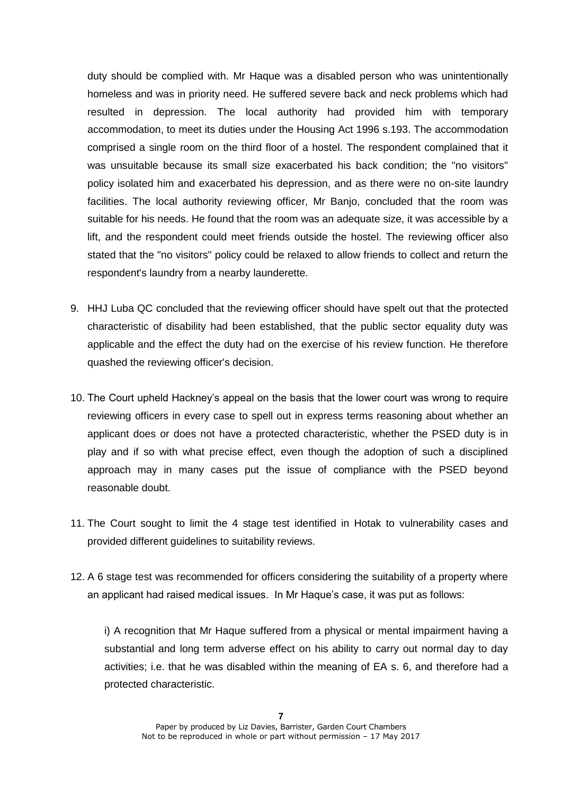duty should be complied with. Mr Haque was a disabled person who was unintentionally homeless and was in priority need. He suffered severe back and neck problems which had resulted in depression. The local authority had provided him with temporary accommodation, to meet its duties under the Housing Act 1996 s.193. The accommodation comprised a single room on the third floor of a hostel. The respondent complained that it was unsuitable because its small size exacerbated his back condition; the "no visitors" policy isolated him and exacerbated his depression, and as there were no on-site laundry facilities. The local authority reviewing officer, Mr Banjo, concluded that the room was suitable for his needs. He found that the room was an adequate size, it was accessible by a lift, and the respondent could meet friends outside the hostel. The reviewing officer also stated that the "no visitors" policy could be relaxed to allow friends to collect and return the respondent's laundry from a nearby launderette.

- 9. HHJ Luba QC concluded that the reviewing officer should have spelt out that the protected characteristic of disability had been established, that the public sector equality duty was applicable and the effect the duty had on the exercise of his review function. He therefore quashed the reviewing officer's decision.
- 10. The Court upheld Hackney's appeal on the basis that the lower court was wrong to require reviewing officers in every case to spell out in express terms reasoning about whether an applicant does or does not have a protected characteristic, whether the PSED duty is in play and if so with what precise effect, even though the adoption of such a disciplined approach may in many cases put the issue of compliance with the PSED beyond reasonable doubt.
- 11. The Court sought to limit the 4 stage test identified in Hotak to vulnerability cases and provided different guidelines to suitability reviews.
- 12. A 6 stage test was recommended for officers considering the suitability of a property where an applicant had raised medical issues. In Mr Haque's case, it was put as follows:

i) A recognition that Mr Haque suffered from a physical or mental impairment having a substantial and long term adverse effect on his ability to carry out normal day to day activities; i.e. that he was disabled within the meaning of EA s. 6, and therefore had a protected characteristic.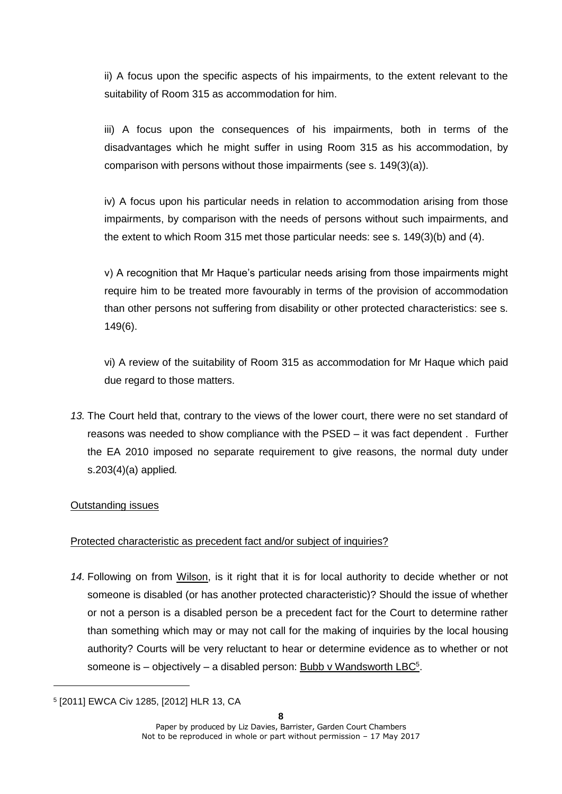ii) A focus upon the specific aspects of his impairments, to the extent relevant to the suitability of Room 315 as accommodation for him.

iii) A focus upon the consequences of his impairments, both in terms of the disadvantages which he might suffer in using Room 315 as his accommodation, by comparison with persons without those impairments (see s. 149(3)(a)).

iv) A focus upon his particular needs in relation to accommodation arising from those impairments, by comparison with the needs of persons without such impairments, and the extent to which Room 315 met those particular needs: see s. 149(3)(b) and (4).

v) A recognition that Mr Haque's particular needs arising from those impairments might require him to be treated more favourably in terms of the provision of accommodation than other persons not suffering from disability or other protected characteristics: see s. 149(6).

vi) A review of the suitability of Room 315 as accommodation for Mr Haque which paid due regard to those matters.

*13.* The Court held that, contrary to the views of the lower court, there were no set standard of reasons was needed to show compliance with the PSED – it was fact dependent . Further the EA 2010 imposed no separate requirement to give reasons, the normal duty under s.203(4)(a) applied*.*

## Outstanding issues

## Protected characteristic as precedent fact and/or subject of inquiries?

*14.* Following on from Wilson, is it right that it is for local authority to decide whether or not someone is disabled (or has another protected characteristic)? Should the issue of whether or not a person is a disabled person be a precedent fact for the Court to determine rather than something which may or may not call for the making of inquiries by the local housing authority? Courts will be very reluctant to hear or determine evidence as to whether or not someone is - objectively - a disabled person: Bubb v Wandsworth LBC<sup>5</sup>.

<sup>5</sup> [2011] EWCA Civ 1285, [2012] HLR 13, CA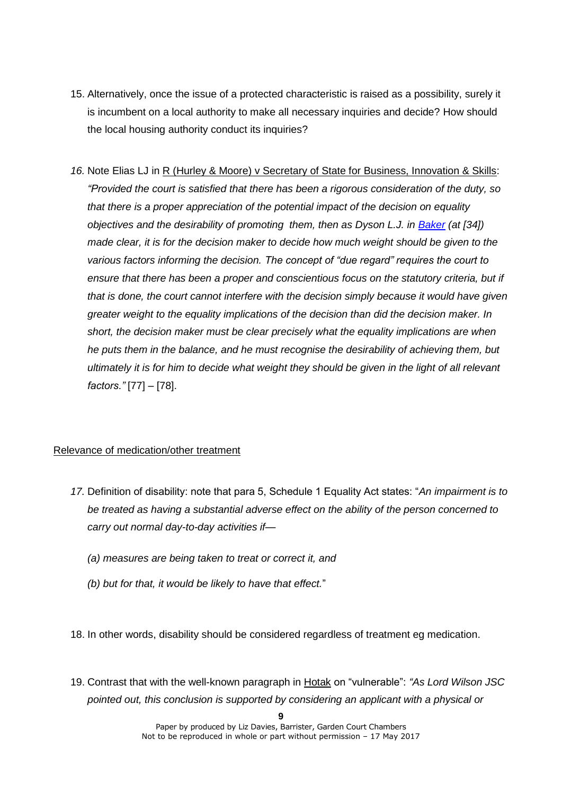- 15. Alternatively, once the issue of a protected characteristic is raised as a possibility, surely it is incumbent on a local authority to make all necessary inquiries and decide? How should the local housing authority conduct its inquiries?
- *16.* Note Elias LJ in R (Hurley & Moore) v Secretary of State for Business, Innovation & Skills: *"Provided the court is satisfied that there has been a rigorous consideration of the duty, so that there is a proper appreciation of the potential impact of the decision on equality objectives and the desirability of promoting them, then as Dyson L.J. in Baker (at [34]) made clear, it is for the decision maker to decide how much weight should be given to the various factors informing the decision. The concept of "due regard" requires the court to ensure that there has been a proper and conscientious focus on the statutory criteria, but if that is done, the court cannot interfere with the decision simply because it would have given greater weight to the equality implications of the decision than did the decision maker. In short, the decision maker must be clear precisely what the equality implications are when he puts them in the balance, and he must recognise the desirability of achieving them, but ultimately it is for him to decide what weight they should be given in the light of all relevant factors."* [77] – [78].

## Relevance of medication/other treatment

- *17.* Definition of disability: note that para 5, Schedule 1 Equality Act states: "*An impairment is to be treated as having a substantial adverse effect on the ability of the person concerned to carry out normal day-to-day activities if—*
	- *(a) measures are being taken to treat or correct it, and*
	- *(b) but for that, it would be likely to have that effect.*"
- 18. In other words, disability should be considered regardless of treatment eg medication.
- 19. Contrast that with the well-known paragraph in Hotak on "vulnerable": *"As Lord Wilson JSC pointed out, this conclusion is supported by considering an applicant with a physical or*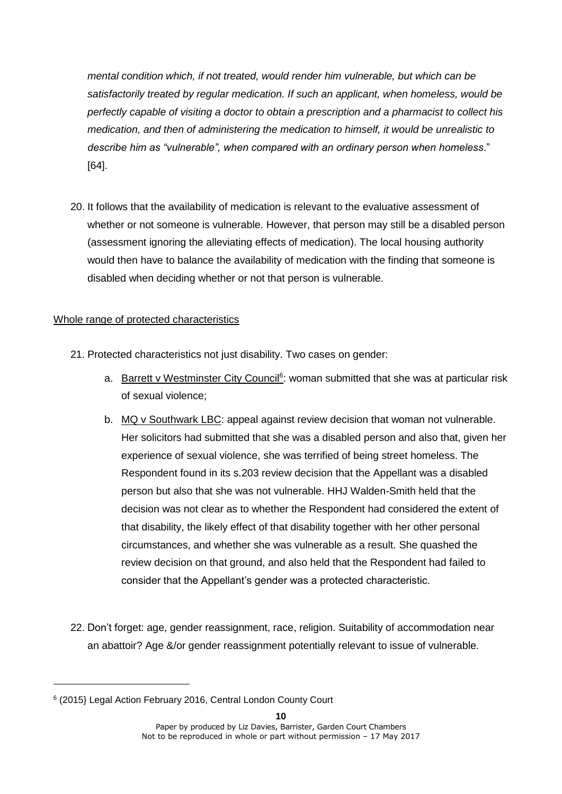*mental condition which, if not treated, would render him vulnerable, but which can be satisfactorily treated by regular medication. If such an applicant, when homeless, would be perfectly capable of visiting a doctor to obtain a prescription and a pharmacist to collect his medication, and then of administering the medication to himself, it would be unrealistic to describe him as "vulnerable", when compared with an ordinary person when homeless*." [64].

20. It follows that the availability of medication is relevant to the evaluative assessment of whether or not someone is vulnerable. However, that person may still be a disabled person (assessment ignoring the alleviating effects of medication). The local housing authority would then have to balance the availability of medication with the finding that someone is disabled when deciding whether or not that person is vulnerable.

## Whole range of protected characteristics

- 21. Protected characteristics not just disability. Two cases on gender:
	- a. Barrett v Westminster City Council<sup>6</sup>: woman submitted that she was at particular risk of sexual violence;
	- b. MQ v Southwark LBC: appeal against review decision that woman not vulnerable. Her solicitors had submitted that she was a disabled person and also that, given her experience of sexual violence, she was terrified of being street homeless. The Respondent found in its s.203 review decision that the Appellant was a disabled person but also that she was not vulnerable. HHJ Walden-Smith held that the decision was not clear as to whether the Respondent had considered the extent of that disability, the likely effect of that disability together with her other personal circumstances, and whether she was vulnerable as a result. She quashed the review decision on that ground, and also held that the Respondent had failed to consider that the Appellant's gender was a protected characteristic.
- 22. Don't forget: age, gender reassignment, race, religion. Suitability of accommodation near an abattoir? Age &/or gender reassignment potentially relevant to issue of vulnerable.

<sup>6</sup> (2015} Legal Action February 2016, Central London County Court

Paper by produced by Liz Davies, Barrister, Garden Court Chambers Not to be reproduced in whole or part without permission – 17 May 2017